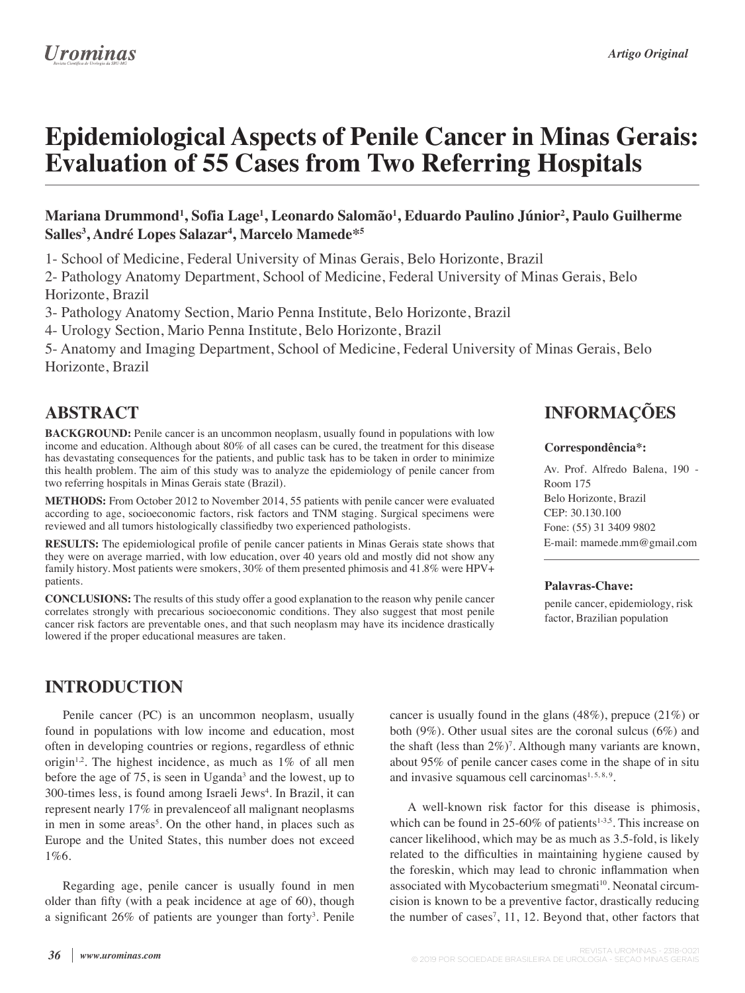# **Epidemiological Aspects of Penile Cancer in Minas Gerais: Evaluation of 55 Cases from Two Referring Hospitals**

#### **Mariana Drummond1 , Sofia Lage1 , Leonardo Salomão1 , Eduardo Paulino Júnior2 , Paulo Guilherme Salles3 , André Lopes Salazar4 , Marcelo Mamede\*5**

1- School of Medicine, Federal University of Minas Gerais, Belo Horizonte, Brazil

2- Pathology Anatomy Department, School of Medicine, Federal University of Minas Gerais, Belo Horizonte, Brazil

3- Pathology Anatomy Section, Mario Penna Institute, Belo Horizonte, Brazil

4- Urology Section, Mario Penna Institute, Belo Horizonte, Brazil

5- Anatomy and Imaging Department, School of Medicine, Federal University of Minas Gerais, Belo Horizonte, Brazil

### **ABSTRACT**

**BACKGROUND:** Penile cancer is an uncommon neoplasm, usually found in populations with low income and education. Although about 80% of all cases can be cured, the treatment for this disease has devastating consequences for the patients, and public task has to be taken in order to minimize this health problem. The aim of this study was to analyze the epidemiology of penile cancer from two referring hospitals in Minas Gerais state (Brazil).

**METHODS:** From October 2012 to November 2014, 55 patients with penile cancer were evaluated according to age, socioeconomic factors, risk factors and TNM staging. Surgical specimens were reviewed and all tumors histologically classifiedby two experienced pathologists.

**RESULTS:** The epidemiological profile of penile cancer patients in Minas Gerais state shows that they were on average married, with low education, over 40 years old and mostly did not show any family history. Most patients were smokers, 30% of them presented phimosis and 41.8% were HPV+ patients.

**CONCLUSIONS:** The results of this study offer a good explanation to the reason why penile cancer correlates strongly with precarious socioeconomic conditions. They also suggest that most penile cancer risk factors are preventable ones, and that such neoplasm may have its incidence drastically lowered if the proper educational measures are taken.

### **INTRODUCTION**

Penile cancer (PC) is an uncommon neoplasm, usually found in populations with low income and education, most often in developing countries or regions, regardless of ethnic origin<sup>1,2</sup>. The highest incidence, as much as  $1\%$  of all men before the age of  $75$ , is seen in Uganda<sup>3</sup> and the lowest, up to 300-times less, is found among Israeli Jews<sup>4</sup>. In Brazil, it can represent nearly 17% in prevalenceof all malignant neoplasms in men in some areas<sup>5</sup>. On the other hand, in places such as Europe and the United States, this number does not exceed 1%6.

Regarding age, penile cancer is usually found in men older than fifty (with a peak incidence at age of  $60$ ), though a significant 26% of patients are younger than forty<sup>3</sup>. Penile

## **INFORMAÇÕES**

#### **Correspondência\*:**

Av. Prof. Alfredo Balena, 190 - Room 175 Belo Horizonte, Brazil CEP: 30.130.100 Fone: (55) 31 3409 9802 E-mail: mamede.mm@gmail.com

#### **Palavras-Chave:**

penile cancer, epidemiology, risk factor, Brazilian population

cancer is usually found in the glans (48%), prepuce (21%) or both (9%). Other usual sites are the coronal sulcus (6%) and the shaft (less than  $2\%)^7$ . Although many variants are known, about 95% of penile cancer cases come in the shape of in situ

A well-known risk factor for this disease is phimosis, which can be found in  $25{\text -}60\%$  of patients<sup>1-3,5</sup>. This increase on cancer likelihood, which may be as much as 3.5-fold, is likely related to the difficulties in maintaining hygiene caused by the foreskin, which may lead to chronic inflammation when associated with Mycobacterium smegmati<sup>10</sup>. Neonatal circum-

and invasive squamous cell carcinomas<sup> $1,5,8,9$ </sup>.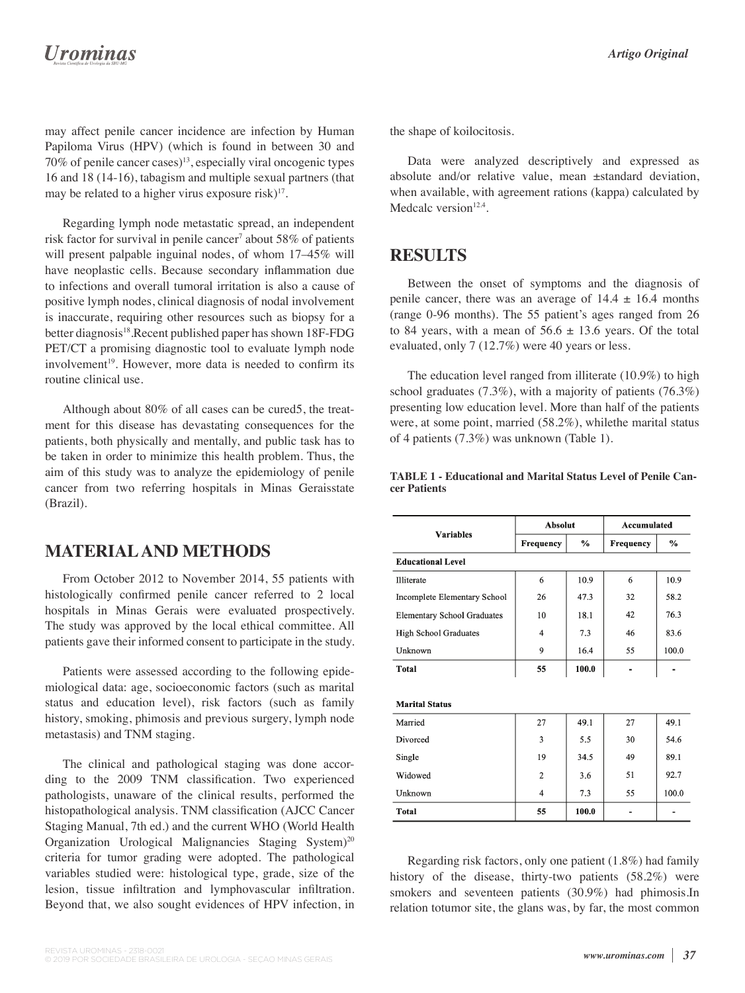## **Urominas**

may affect penile cancer incidence are infection by Human Papiloma Virus (HPV) (which is found in between 30 and  $70\%$  of penile cancer cases)<sup>13</sup>, especially viral oncogenic types 16 and 18 (14-16), tabagism and multiple sexual partners (that may be related to a higher virus exposure risk $17$ .

Regarding lymph node metastatic spread, an independent risk factor for survival in penile cancer<sup>7</sup> about 58% of patients will present palpable inguinal nodes, of whom  $17-45\%$  will have neoplastic cells. Because secondary inflammation due to infections and overall tumoral irritation is also a cause of positive lymph nodes, clinical diagnosis of nodal involvement is inaccurate, requiring other resources such as biopsy for a better diagnosis<sup>18</sup>.Recent published paper has shown 18F-FDG PET/CT a promising diagnostic tool to evaluate lymph node involvement<sup>19</sup>. However, more data is needed to confirm its routine clinical use.

Although about 80% of all cases can be cured5, the treatment for this disease has devastating consequences for the patients, both physically and mentally, and public task has to be taken in order to minimize this health problem. Thus, the aim of this study was to analyze the epidemiology of penile cancer from two referring hospitals in Minas Geraisstate (Brazil).

### **MATERIAL AND METHODS**

From October 2012 to November 2014, 55 patients with histologically confirmed penile cancer referred to 2 local hospitals in Minas Gerais were evaluated prospectively. The study was approved by the local ethical committee. All patients gave their informed consent to participate in the study.

Patients were assessed according to the following epidemiological data: age, socioeconomic factors (such as marital status and education level), risk factors (such as family history, smoking, phimosis and previous surgery, lymph node metastasis) and TNM staging.

The clinical and pathological staging was done according to the 2009 TNM classification. Two experienced pathologists, unaware of the clinical results, performed the histopathological analysis. TNM classification (AJCC Cancer Staging Manual, 7th ed.) and the current WHO (World Health Organization Urological Malignancies Staging System)<sup>20</sup> criteria for tumor grading were adopted. The pathological variables studied were: histological type, grade, size of the lesion, tissue infiltration and lymphovascular infiltration. Beyond that, we also sought evidences of HPV infection, in

the shape of koilocitosis.

Data were analyzed descriptively and expressed as absolute and/or relative value, mean ±standard deviation, when available, with agreement rations (kappa) calculated by Medcalc version $12.4$ .

### **RESULTS**

Between the onset of symptoms and the diagnosis of penile cancer, there was an average of  $14.4 \pm 16.4$  months (range 0-96 months). The 55 patient's ages ranged from 26 to 84 years, with a mean of  $56.6 \pm 13.6$  years. Of the total evaluated, only 7 (12.7%) were 40 years or less.

The education level ranged from illiterate (10.9%) to high school graduates (7.3%), with a majority of patients (76.3%) presenting low education level. More than half of the patients were, at some point, married (58.2%), whilethe marital status of 4 patients (7.3%) was unknown (Table 1).

|                                    | <b>Absolut</b> |                | Accumulated |               |
|------------------------------------|----------------|----------------|-------------|---------------|
| <b>Variables</b>                   | Frequency      | $\frac{6}{10}$ | Frequency   | $\frac{0}{2}$ |
| <b>Educational Level</b>           |                |                |             |               |
| <b>Illiterate</b>                  | 6              | 10.9           | 6           | 10.9          |
| Incomplete Elementary School       | 26             | 47.3           | 32          | 58.2          |
| <b>Elementary School Graduates</b> | 10             | 18.1           | 42          | 76.3          |
| <b>High School Graduates</b>       | 4              | 7.3            | 46          | 83.6          |
| Unknown                            | 9              | 16.4           | 55          | 100.0         |
| <b>Total</b>                       | 55             | 100.0          |             |               |
|                                    |                |                |             |               |
| <b>Marital Status</b>              |                |                |             |               |
| Married                            | 27             | 49.1           | 27          | 49.1          |
| Divorced                           | 3              | 5.5            | 30          | 54.6          |
| Single                             | 19             | 34.5           | 49          | 89.1          |
| Widowed                            | $\overline{c}$ | 3.6            | 51          | 92.7          |
| Unknown                            | $\overline{4}$ | 7.3            | 55          | 100.0         |
| <b>Total</b>                       | 55             | 100.0          |             |               |

**TABLE 1 - Educational and Marital Status Level of Penile Cancer Patients**

Regarding risk factors, only one patient (1.8%) had family history of the disease, thirty-two patients (58.2%) were smokers and seventeen patients (30.9%) had phimosis.In relation totumor site, the glans was, by far, the most common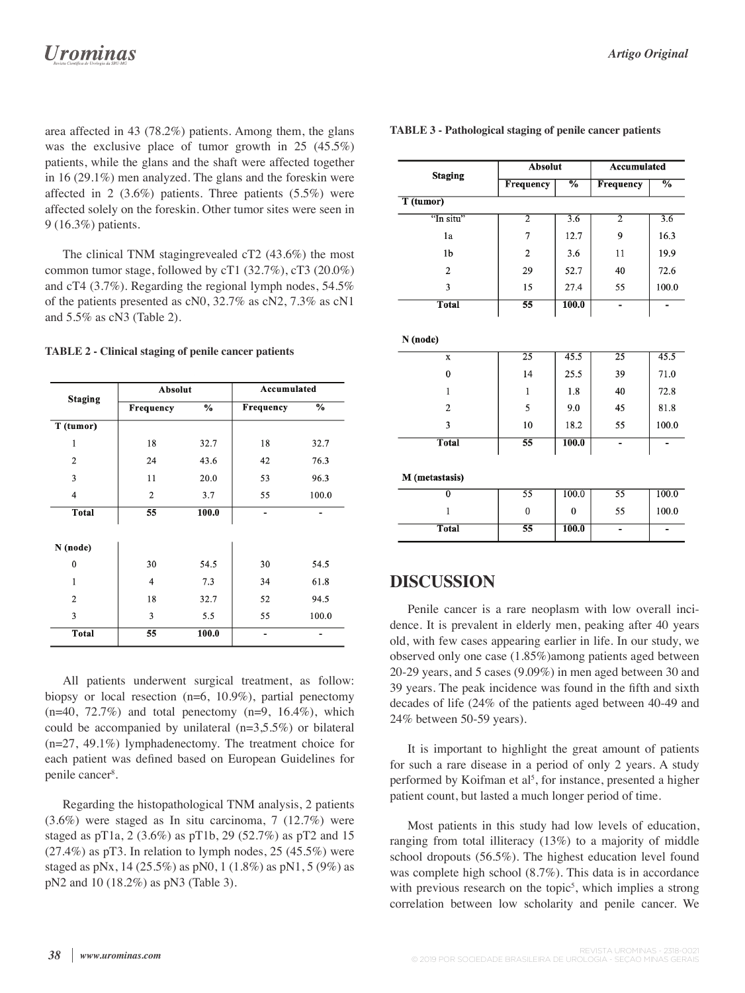area affected in 43 (78.2%) patients. Among them, the glans was the exclusive place of tumor growth in 25 (45.5%) patients, while the glans and the shaft were affected together in 16 (29.1%) men analyzed. The glans and the foreskin were affected in 2 (3.6%) patients. Three patients (5.5%) were affected solely on the foreskin. Other tumor sites were seen in 9 (16.3%) patients.

The clinical TNM stagingrevealed cT2 (43.6%) the most common tumor stage, followed by cT1 (32.7%), cT3 (20.0%) and cT4 (3.7%). Regarding the regional lymph nodes, 54.5% of the patients presented as cN0, 32.7% as cN2, 7.3% as cN1 and 5.5% as cN3 (Table 2).

#### **TABLE 2 - Clinical staging of penile cancer patients**

| <b>Staging</b> | Absolut         |               | Accumulated    |       |  |
|----------------|-----------------|---------------|----------------|-------|--|
|                | Frequency       | $\frac{0}{0}$ | Frequency      | %     |  |
| T (tumor)      |                 |               |                |       |  |
| $\mathbf{1}$   | 18              | 32.7          | 18             | 32.7  |  |
| $\overline{2}$ | 24              | 43.6          | 42             | 76.3  |  |
| 3              | 11              | 20.0          | 53             | 96.3  |  |
| $\overline{4}$ | $\overline{c}$  | 3.7           | 55             | 100.0 |  |
| <b>Total</b>   | $\overline{55}$ | 100.0         |                |       |  |
|                |                 |               |                |       |  |
| N (node)       |                 |               |                |       |  |
| $\mathbf{0}$   | 30              | 54.5          | 30             | 54.5  |  |
| $\mathbf{1}$   | $\overline{4}$  | 7.3           | 34             | 61.8  |  |
| $\overline{2}$ | 18              | 32.7          | 52             | 94.5  |  |
| 3              | 3               | 5.5           | 55             | 100.0 |  |
| <b>Total</b>   | 55              | 100.0         | $\overline{a}$ | -     |  |

All patients underwent surgical treatment, as follow: biopsy or local resection (n=6, 10.9%), partial penectomy  $(n=40, 72.7%)$  and total penectomy  $(n=9, 16.4%)$ , which could be accompanied by unilateral  $(n=3,5.5\%)$  or bilateral (n=27, 49.1%) lymphadenectomy. The treatment choice for each patient was defined based on European Guidelines for penile cancer<sup>8</sup>.

Regarding the histopathological TNM analysis, 2 patients (3.6%) were staged as In situ carcinoma, 7 (12.7%) were staged as pT1a, 2 (3.6%) as pT1b, 29 (52.7%) as pT2 and 15  $(27.4\%)$  as pT3. In relation to lymph nodes, 25  $(45.5\%)$  were staged as pNx, 14 (25.5%) as pN0, 1 (1.8%) as pN1, 5 (9%) as pN2 and 10 (18.2%) as pN3 (Table 3).

| TABLE 3 - Pathological staging of penile cancer patients |  |  |
|----------------------------------------------------------|--|--|
|----------------------------------------------------------|--|--|

| <b>Staging</b> |                 | <b>Absolut</b> |                              | <b>Accumulated</b> |  |
|----------------|-----------------|----------------|------------------------------|--------------------|--|
|                | Frequency       | $\frac{0}{0}$  | Frequency                    | $\frac{0}{0}$      |  |
| T (tumor)      |                 |                |                              |                    |  |
| "In situ"      | 2               | 3.6            | $\overline{2}$               | 3.6                |  |
| 1a             | 7               | 12.7           | 9                            | 16.3               |  |
| 1 <sub>b</sub> | $\overline{2}$  | 3.6            | 11                           | 19.9               |  |
| $\overline{2}$ | 29              | 52.7           | 40                           | 72.6               |  |
| 3              | 15              | 27.4           | 55                           | 100.0              |  |
| <b>Total</b>   | 55              | 100.0          |                              |                    |  |
| $\mathbf x$    | 25              | 45.5           | 25                           | 45.5               |  |
| N (node)       |                 |                |                              |                    |  |
| $\mathbf{0}$   | 14              | 25.5           | 39                           | 71.0               |  |
| 1              | 1               | 1.8            | 40                           | 72.8               |  |
| $\overline{2}$ | 5               | 9.0            | 45                           | 81.8               |  |
| 3              | 10              | 18.2           | 55                           | 100.0              |  |
| <b>Total</b>   | $\overline{55}$ | 100.0          | $\qquad \qquad \blacksquare$ | -                  |  |
|                |                 |                |                              |                    |  |
| M (metastasis) |                 |                |                              |                    |  |
| $\overline{0}$ | $\overline{55}$ | 100.0          | $\overline{55}$              | 100.0              |  |
| 1              | $\mathbf{0}$    | $\bf{0}$       | 55                           | 100.0              |  |
| <b>Total</b>   | 55              | 100.0          | ä,                           | ÷                  |  |

#### **DISCUSSION**

Penile cancer is a rare neoplasm with low overall incidence. It is prevalent in elderly men, peaking after 40 years old, with few cases appearing earlier in life. In our study, we observed only one case (1.85%)among patients aged between 20-29 years, and 5 cases (9.09%) in men aged between 30 and 39 years. The peak incidence was found in the fifth and sixth decades of life (24% of the patients aged between 40-49 and 24% between 50-59 years).

It is important to highlight the great amount of patients for such a rare disease in a period of only 2 years. A study performed by Koifman et al<sup>5</sup>, for instance, presented a higher patient count, but lasted a much longer period of time.

Most patients in this study had low levels of education, ranging from total illiteracy (13%) to a majority of middle school dropouts (56.5%). The highest education level found was complete high school  $(8.7\%)$ . This data is in accordance with previous research on the topic<sup>5</sup>, which implies a strong correlation between low scholarity and penile cancer. We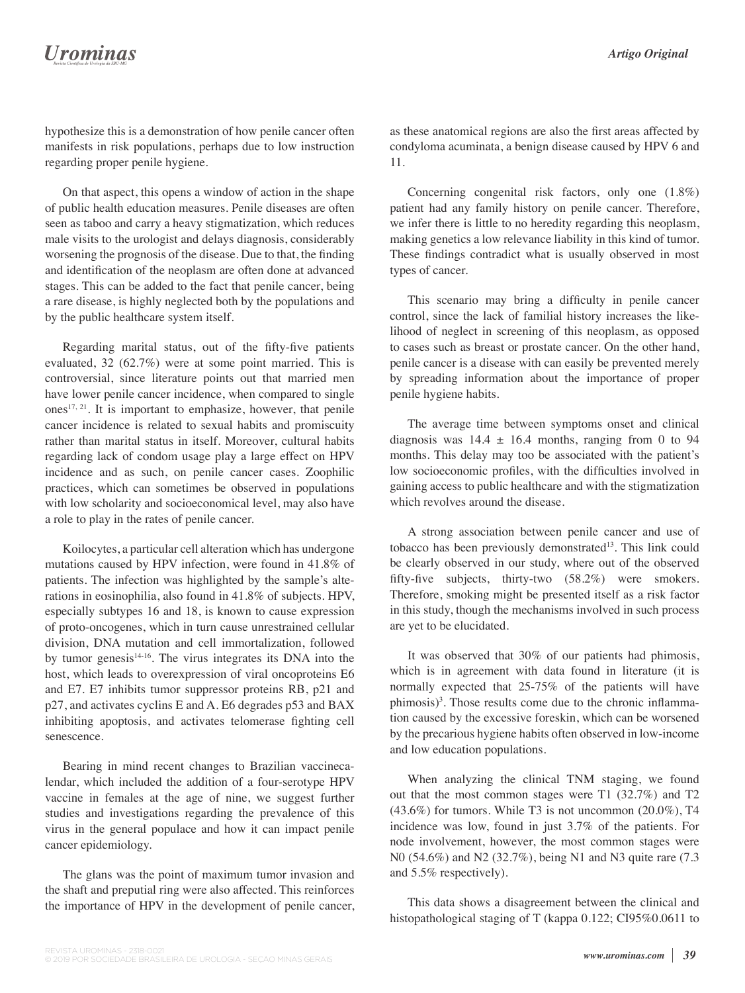hypothesize this is a demonstration of how penile cancer often manifests in risk populations, perhaps due to low instruction regarding proper penile hygiene.

On that aspect, this opens a window of action in the shape of public health education measures. Penile diseases are often seen as taboo and carry a heavy stigmatization, which reduces male visits to the urologist and delays diagnosis, considerably worsening the prognosis of the disease. Due to that, the finding and identification of the neoplasm are often done at advanced stages. This can be added to the fact that penile cancer, being a rare disease, is highly neglected both by the populations and by the public healthcare system itself.

Regarding marital status, out of the fifty-five patients evaluated, 32 (62.7%) were at some point married. This is controversial, since literature points out that married men have lower penile cancer incidence, when compared to single ones<sup>17, 21</sup>. It is important to emphasize, however, that penile cancer incidence is related to sexual habits and promiscuity rather than marital status in itself. Moreover, cultural habits regarding lack of condom usage play a large effect on HPV incidence and as such, on penile cancer cases. Zoophilic practices, which can sometimes be observed in populations with low scholarity and socioeconomical level, may also have a role to play in the rates of penile cancer.

Koilocytes, a particular cell alteration which has undergone mutations caused by HPV infection, were found in 41.8% of patients. The infection was highlighted by the sample's alterations in eosinophilia, also found in 41.8% of subjects. HPV, especially subtypes 16 and 18, is known to cause expression of proto-oncogenes, which in turn cause unrestrained cellular division, DNA mutation and cell immortalization, followed by tumor genesis<sup>14-16</sup>. The virus integrates its DNA into the host, which leads to overexpression of viral oncoproteins E6 and E7. E7 inhibits tumor suppressor proteins RB, p21 and p27, and activates cyclins E and A. E6 degrades p53 and BAX inhibiting apoptosis, and activates telomerase fighting cell senescence.

Bearing in mind recent changes to Brazilian vaccinecalendar, which included the addition of a four-serotype HPV vaccine in females at the age of nine, we suggest further studies and investigations regarding the prevalence of this virus in the general populace and how it can impact penile cancer epidemiology.

The glans was the point of maximum tumor invasion and the shaft and preputial ring were also affected. This reinforces the importance of HPV in the development of penile cancer, as these anatomical regions are also the first areas affected by condyloma acuminata, a benign disease caused by HPV 6 and 11.

Concerning congenital risk factors, only one (1.8%) patient had any family history on penile cancer. Therefore, we infer there is little to no heredity regarding this neoplasm, making genetics a low relevance liability in this kind of tumor. These findings contradict what is usually observed in most types of cancer.

This scenario may bring a difficulty in penile cancer control, since the lack of familial history increases the likelihood of neglect in screening of this neoplasm, as opposed to cases such as breast or prostate cancer. On the other hand, penile cancer is a disease with can easily be prevented merely by spreading information about the importance of proper penile hygiene habits.

The average time between symptoms onset and clinical diagnosis was  $14.4 \pm 16.4$  months, ranging from 0 to 94 months. This delay may too be associated with the patient's low socioeconomic profiles, with the difficulties involved in gaining access to public healthcare and with the stigmatization which revolves around the disease.

A strong association between penile cancer and use of tobacco has been previously demonstrated<sup>13</sup>. This link could be clearly observed in our study, where out of the observed fifty-five subjects, thirty-two  $(58.2\%)$  were smokers. Therefore, smoking might be presented itself as a risk factor in this study, though the mechanisms involved in such process are yet to be elucidated.

It was observed that 30% of our patients had phimosis, which is in agreement with data found in literature (it is normally expected that 25-75% of the patients will have  $phimosis$ <sup>3</sup>. Those results come due to the chronic inflammation caused by the excessive foreskin, which can be worsened by the precarious hygiene habits often observed in low-income and low education populations.

When analyzing the clinical TNM staging, we found out that the most common stages were T1 (32.7%) and T2  $(43.6\%)$  for tumors. While T3 is not uncommon  $(20.0\%)$ , T4 incidence was low, found in just 3.7% of the patients. For node involvement, however, the most common stages were N0 (54.6%) and N2 (32.7%), being N1 and N3 quite rare (7.3 and 5.5% respectively).

This data shows a disagreement between the clinical and histopathological staging of T (kappa 0.122; CI95%0.0611 to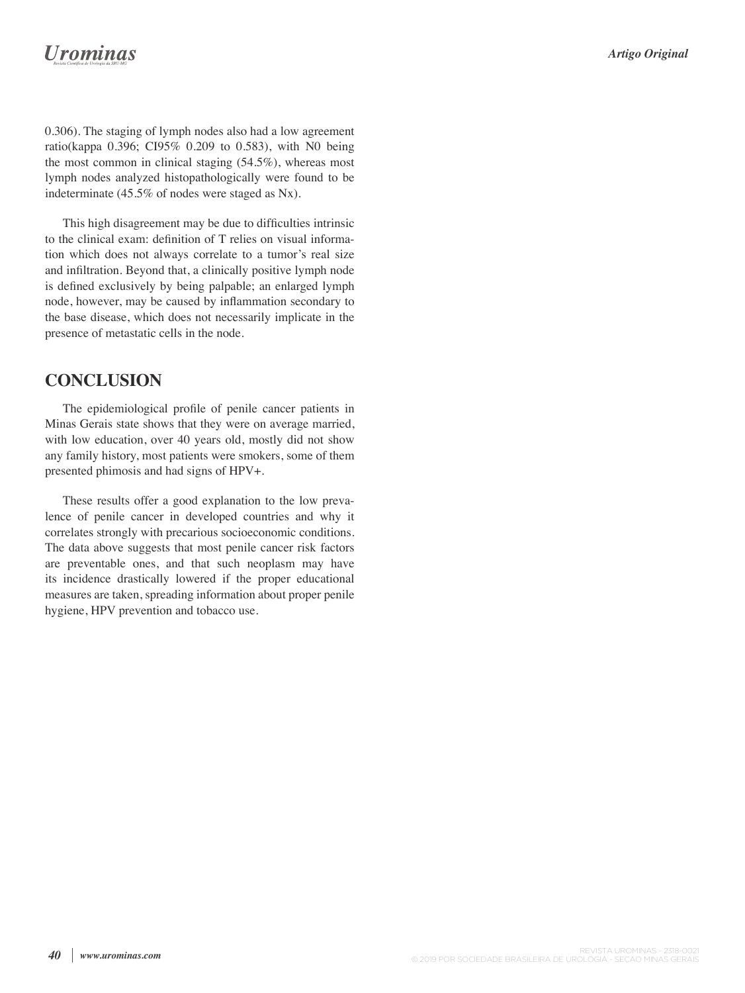## **Urominas**

0.306). The staging of lymph nodes also had a low agreement ratio(kappa 0.396; CI95% 0.209 to 0.583), with N0 being the most common in clinical staging (54.5%), whereas most lymph nodes analyzed histopathologically were found to be indeterminate (45.5% of nodes were staged as Nx).

This high disagreement may be due to difficulties intrinsic to the clinical exam: definition of  $T$  relies on visual information which does not always correlate to a tumor's real size and infiltration. Beyond that, a clinically positive lymph node is defined exclusively by being palpable; an enlarged lymph node, however, may be caused by inflammation secondary to the base disease, which does not necessarily implicate in the presence of metastatic cells in the node.

### **CONCLUSION**

The epidemiological profile of penile cancer patients in Minas Gerais state shows that they were on average married, with low education, over 40 years old, mostly did not show any family history, most patients were smokers, some of them presented phimosis and had signs of HPV+.

These results offer a good explanation to the low prevalence of penile cancer in developed countries and why it correlates strongly with precarious socioeconomic conditions. The data above suggests that most penile cancer risk factors are preventable ones, and that such neoplasm may have its incidence drastically lowered if the proper educational measures are taken, spreading information about proper penile hygiene, HPV prevention and tobacco use.